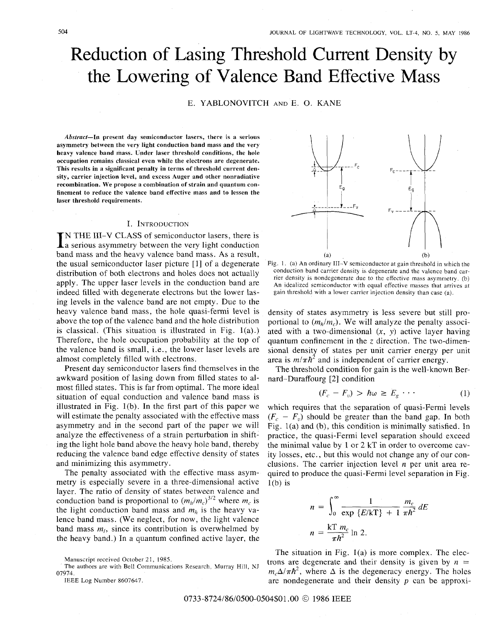# Reduction of Lasing Threshold Current Density by the Lowering of Valence Band Effective Mass

## E. YABLONOVITCH AND E. 0. KANE

*Abstract-In* **present day semiconductor lasers, there is a serious asymmetry between the very light conduction band mass and the very heavy valence band mass. Under laser threshold conditions, the hole occupation remains classical even while the electrons are degenerate. This results in a significant penalty in terms of threshold current density, carrier injection level, and excess Auger and other nonradiative recombination. We propose a combination of strain and quantum confinement to reduce the valence band effective mass and to lessen the laser threshold requirements.** 

#### I. INTRODUCTION

IN THE III-V CLASS of semiconductor lasers, there is<br>a serious asymmetry between the very light conduction<br>and the line of the conduction band mass and the heavy valence band mass. As a result, the usual semiconductor laser picture [1] of a degenerate distribution of both electrons and holes does not actually apply. The upper laser levels in the conduction band are indeed filled with degenerate electrons but the lower lasing levels in the valence band are not empty. Due to the heavy valence band mass, the hole quasi-fermi level is above the top of the valence band and the hole distribution is classical. (This situation is illustrated in Fig.  $1(a)$ .) Therefore, the hole occupation probability at the top of the valence band is small, i.e., the lower laser levels are almost completely filled with electrons.

Present day semiconductor lasers find themselves in the awkward position of lasing down from filled states to almost filled states. This is far from optimal. The more ideal situation of equal conduction and valence band mass is illustrated in Fig. l(b). In the first part of this paper we will estimate the penalty associated with the effective mass asymmetry and in the second part of the paper we will analyze the effectiveness of a strain perturbation in shifting the light hole band above the heavy hole band, thereby reducing the valence band edge effective density of states and minimizing this asymmetry.

The penalty associated with the effective mass asymmetry is especially severe in a three-dimensional active layer. The ratio of density of states between valence and conduction band is proportional to  $(m_h/m_c)^{3/2}$  where  $m_c$  is the light conduction band mass and  $m<sub>h</sub>$  is the heavy valence band mass. (We neglect, for now, the light valence band mass  $m_l$ , since its contribution is overwhelmed by the heavy band.) In a quantum confined active layer, the



The authors are with Bell Communications Research. Murray Hill, NJ 07974.

IEEE Log Number 8607647.



Fig. 1. (a) An ordinary 111-V semiconductor at gain threshold in which the conduction band carrier density is degenerate and the valence band carrier density is nondegenerate due to the effective mass asymmetry. (b) An idealized semiconductor with equal effective masses that arrives at gain threshold with a lower carrier injection density than case (a).

density of states asymmetry is less severe but still proportional to  $(m_h/m_c)$ . We will analyze the penalty associated with a two-dimensional *(x, y)* active layer having quantum confinement in the *z* direction. The two-dimensional density of states per unit carrier energy per unit area is  $m/\pi h^2$  and is independent of carrier energy.

The threshold condition for gain is the well-known Bernard-Duraffourg [2] condition

$$
(F_c - F_v) > \hbar \omega \ge E_g \cdots \tag{1}
$$

which requires that the separation of quasi-Fermi levels  $(F_c - F_v)$  should be greater than the band gap. In both Fig. l(a) and (b), this condition is minimally satisfied. In practice, the quasi-Fermi level separation should exceed the minimal value by 1 or 2 kT in order to overcome cavity losses, etc., but this would not change any of our conclusions. The carrier injection level **n** per unit area required to produce the quasi-Fermi level separation in Fig.<br>  $1(b)$  is<br>  $n = \int_0^\infty \frac{1}{\exp{\{E/kT\}} + 1} \frac{m_c}{\pi h^2} dE$  $l(b)$  is

$$
n = \int_0^\infty \frac{1}{\exp\left\{E/k\mathbf{T}\right\} + 1} \frac{m_c}{\pi \hbar^2} dE
$$

$$
n = \frac{k\mathbf{T} m_c}{\pi \hbar^2} \ln 2.
$$

The situation in Fig. 1(a) is more complex. The electrons are degenerate and their density is given by  $n =$  $m_c\Delta/\pi\hbar^2$ , where  $\Delta$  is the degeneracy energy. The holes are nondegenerate and their density *p* can be approxi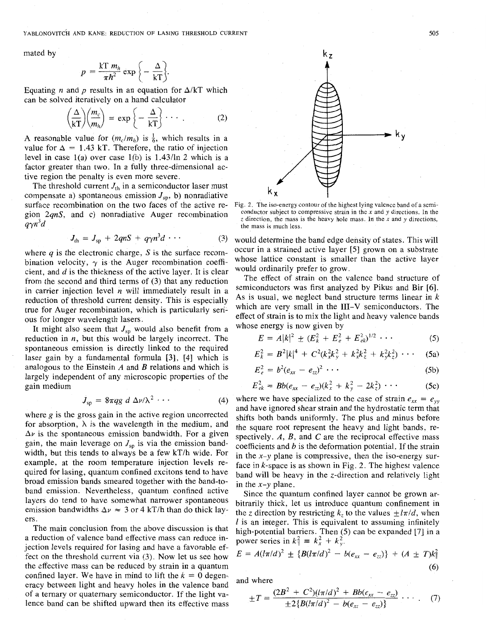YABLONOVITCH AND KANE: REDUCTION OF LASING THRESHOLD CURRENT 505

mated by

$$
p = \frac{kT m_h}{\pi \hbar^2} \exp \bigg\{-\frac{\Delta}{kT}\bigg\}.
$$

Equating *n* and *p* results in an equation for  $\Delta / kT$  which can be solved iteratively on a hand calculator

$$
\left(\frac{\Delta}{kT}\right)\left(\frac{m_c}{m_h}\right) = \exp\left\{-\frac{\Delta}{kT}\right\} \cdots \tag{2}
$$

A reasonable value for  $(m_c/m_h)$  is  $\frac{1}{6}$ , which results in a value for  $\Delta = 1.43$  kT. Therefore, the ratio of injection level in case l(a) over case l(b) is 1.43/ln *2* which is a factor greater than two. In a fully three-dimensional active region the penalty is even more severe.

The threshold current  $J_{th}$  in a semiconductor laser must compensate a) spontaneous emission  $J_{\rm sb}$ , b) nonradiative surface recombination on the two faces of the active region *2qnS,* and c) nonradiative Auger ecombination  $q\gamma n^3d$ 

$$
J_{\text{th}} = J_{\text{sp}} + 2qnS + q\gamma n^3 d \cdots \qquad (3)
$$

where *q* is the electronic charge, *S* is the surface recombination velocity,  $\gamma$  is the Auger recombination coefficient, and  $d$  is the thickness of the active layer. It is clear from the second and third terms of (3) that any reduction in carrier injection level *n* will immediately result in a reduction of threshold current density. This is especially true for Auger recombination, which is particularly serious for longer wavelength lasers.

It might also seem that  $J_{sp}$  would also benefit from a reduction in *n,* but this would be largely incorrect. The spontaneous emission is directly linked to the required laser gain by a fundamental formula [3], **[4]** which is analogous to the Einstein *A* and *B* relations and which is largely independent of any microscopic properties of the gain medium

$$
J_{\rm sp} = 8\pi qg \ d \ \Delta \nu / \lambda^2 \ \cdots \qquad \qquad (4)
$$

where  $g$  is the gross gain in the active region uncorrected for absorption,  $\lambda$  is the wavelength in the medium, and  $\Delta v$  is the spontaneous emission bandwidth. For a given gain, the main leverage on  $J_{sp}$  is via the emission bandwidth, but this tends to always be a few kT/h wide. For example, at the room temperature injection levels required for lasing, quantum confined excitons tend to have broad emission bands smeared together with the band-toband emission. Nevertheless, quantum confined active layers do tend to have somewhat narrower spontaneous emission bandwidths  $\Delta v \approx 3$  or 4 kT/h than do thick layers.

The main conclusion from the above discussion is that a reduction of valence band effective mass can reduce injection levels required for lasing and have a favorable effect on the threshold current via (3). Now let us see how the effective mass can be reduced by strain in a quantum confined layer. We have in mind to lift the  $k = 0$  degeneracy between light and heavy holes in the valence band of a ternary or quaternary semiconductor. If the light valence band can be shifted upward then its effective mass



Fig. 2. The iso-energy contour of the highest lying valence band of a semiconductor subject to compressive strain in the **x** and y directions. In the  $z$  direction, the mass is the heavy hole mass. In the  $x$  and  $y$  directions, the mass is much less.

would determine the band edge density of states. This will occur in a strained active layer *[5]* grown on a substrate whose lattice constant is smaller than the active layer would ordinarily prefer to grow.

The effect of strain on the valence band structure of semiconductors was first analyzed by Pikus and Bir **[6].**  As is usual, we neglect band structure terms linear in *k*  which are very small in the **111-V** semiconductors. The effect of strain is to mix the light and heavy valence bands whose energy is now given by

$$
E = A|k|^2 \pm (E_k^2 + E_e^2 + E_{ek}^2)^{1/2} \cdots
$$
 (5)

$$
E_k^2 = B^2|k|^4 + C^2(k_x^2k_y^2 + k_x^2k_z^2 + k_y^2k_z^2) \cdots
$$
 (5a)

$$
E_e^2 = b^2 (e_{xx} - e_{zz})^2 \cdots \qquad (5b)
$$

$$
E_{ek}^2 = Bb(e_{xx} - e_{zz})(k_x^2 + k_y^2 - 2k_z^2) \cdots
$$
 (5c)

where we have specialized to the case of strain  $e_{xx} = e_{yy}$ and have ignored shear strain and the hydrostatic term that shifts both bands uniformly. The plus and minus before the square root represent the heavy and light bands, respectively. *A, B,* and C are the reciprocal effective mass coefficients and *b* is the deformation potential. If the strain in the *x-y* plane is compressive, then the iso-energy surface in k-space is as shown in Fig. *2.* The highest valence band will be heavy in the z-direction and relatively light in the  $x-y$  plane.

Since the quantum confined layer cannot be grown arbitrarily thick, let us introduce quantum confinement in the *z* direction by restricting  $k_z$  to the values  $\pm l\pi/d$ , when *I* is an integer. This is equivalent to assuming infinitely high-potential barriers. Then *(5)* can be expanded [7] in a power series in  $k_{\parallel}^2 = k_x^2 + k_y^2$ .

$$
E = A(l\pi/d)^{2} \pm \{B(l\pi/d)^{2} - b(e_{xx} - e_{zz})\} + (A \pm T)k_{\parallel}^{2}
$$
\n(6)

and where

$$
\pm T = \frac{(2B^2 + C^2)(l\pi/d)^2 + Bb(e_{xx} - e_{zz})}{\pm 2{B(l\pi/d)^2 - b(e_{xx} - e_{zz})}} \cdots
$$
 (7)